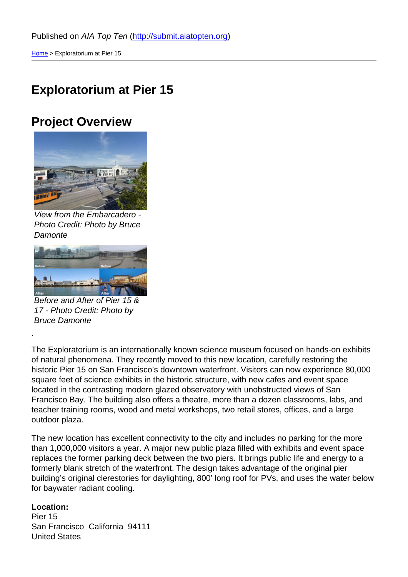#### [Exp](http://submit.aiatopten.org/)loratorium at Pier 15

#### Project Overview

View from the Embarcadero - Photo Credit: Photo by Bruce **Damonte** 

Before and After of Pier 15 & 17 - Photo Credit: Photo by Bruce Damonte

.

The Exploratorium is an internationally known science museum focused on hands-on exhibits of natural phenomena. They recently moved to this new location, carefully restoring the historic Pier 15 on San Francisco's downtown waterfront. Visitors can now experience 80,000 square feet of science exhibits in the historic structure, with new cafes and event space located in the contrasting modern glazed observatory with unobstructed views of San Francisco Bay. The building also offers a theatre, more than a dozen classrooms, labs, and teacher training rooms, wood and metal workshops, two retail stores, offices, and a large outdoor plaza.

The new location has excellent connectivity to the city and includes no parking for the more than 1,000,000 visitors a year. A major new public plaza filled with exhibits and event space replaces the former parking deck between the two piers. It brings public life and energy to a formerly blank stretch of the waterfront. The design takes advantage of the original pier building's original clerestories for daylighting, 800' long roof for PVs, and uses the water below for baywater radiant cooling.

Location: Pier 15 San Francisco California 94111 United States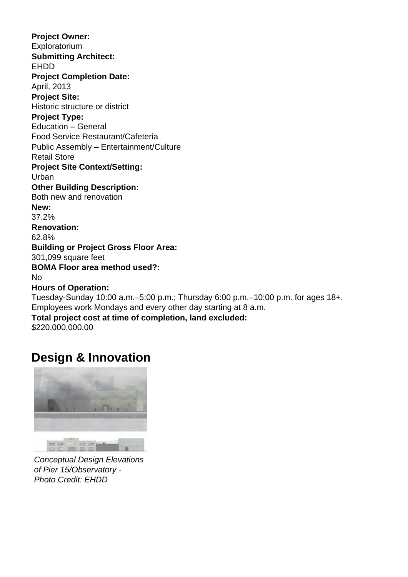**Project Owner:**  Exploratorium **Submitting Architect:**  EHDD **Project Completion Date:**  April, 2013 **Project Site:**  Historic structure or district **Project Type:**  Education – General Food Service Restaurant/Cafeteria Public Assembly – Entertainment/Culture Retail Store **Project Site Context/Setting:**  Urban **Other Building Description:**  Both new and renovation **New:**  37.2% **Renovation:**  62.8% **Building or Project Gross Floor Area:**  301,099 square feet **BOMA Floor area method used?:**  No **Hours of Operation:**  Tuesday-Sunday 10:00 a.m.–5:00 p.m.; Thursday 6:00 p.m.–10:00 p.m. for ages 18+. Employees work Mondays and every other day starting at 8 a.m. **Total project cost at time of completion, land excluded:**  \$220,000,000.00

## **Design & Innovation**



Conceptual Design Elevations of Pier 15/Observatory - Photo Credit: EHDD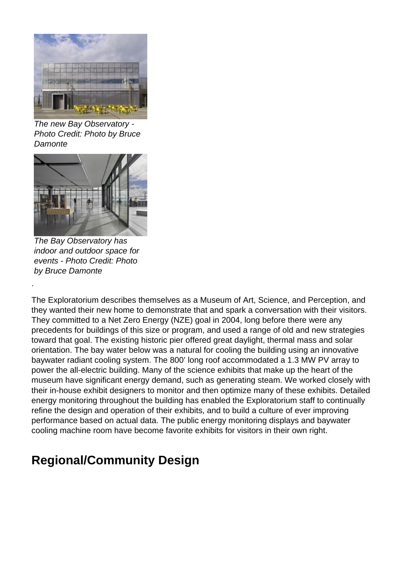

The new Bay Observatory - Photo Credit: Photo by Bruce **Damonte** 



The Bay Observatory has indoor and outdoor space for events - Photo Credit: Photo by Bruce Damonte

The Exploratorium describes themselves as a Museum of Art, Science, and Perception, and they wanted their new home to demonstrate that and spark a conversation with their visitors. They committed to a Net Zero Energy (NZE) goal in 2004, long before there were any precedents for buildings of this size or program, and used a range of old and new strategies toward that goal. The existing historic pier offered great daylight, thermal mass and solar orientation. The bay water below was a natural for cooling the building using an innovative baywater radiant cooling system. The 800' long roof accommodated a 1.3 MW PV array to power the all-electric building. Many of the science exhibits that make up the heart of the museum have significant energy demand, such as generating steam. We worked closely with their in-house exhibit designers to monitor and then optimize many of these exhibits. Detailed energy monitoring throughout the building has enabled the Exploratorium staff to continually refine the design and operation of their exhibits, and to build a culture of ever improving performance based on actual data. The public energy monitoring displays and baywater cooling machine room have become favorite exhibits for visitors in their own right.

## **Regional/Community Design**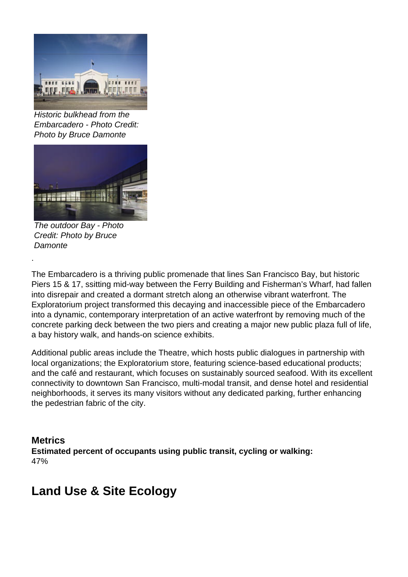

Historic bulkhead from the Embarcadero - Photo Credit: Photo by Bruce Damonte



The outdoor Bay - Photo Credit: Photo by Bruce **Damonte** 

The Embarcadero is a thriving public promenade that lines San Francisco Bay, but historic Piers 15 & 17, ssitting mid-way between the Ferry Building and Fisherman's Wharf, had fallen into disrepair and created a dormant stretch along an otherwise vibrant waterfront. The Exploratorium project transformed this decaying and inaccessible piece of the Embarcadero into a dynamic, contemporary interpretation of an active waterfront by removing much of the concrete parking deck between the two piers and creating a major new public plaza full of life, a bay history walk, and hands-on science exhibits.

Additional public areas include the Theatre, which hosts public dialogues in partnership with local organizations; the Exploratorium store, featuring science-based educational products; and the café and restaurant, which focuses on sustainably sourced seafood. With its excellent connectivity to downtown San Francisco, multi-modal transit, and dense hotel and residential neighborhoods, it serves its many visitors without any dedicated parking, further enhancing the pedestrian fabric of the city.

**Metrics Estimated percent of occupants using public transit, cycling or walking:**  47%

#### **Land Use & Site Ecology**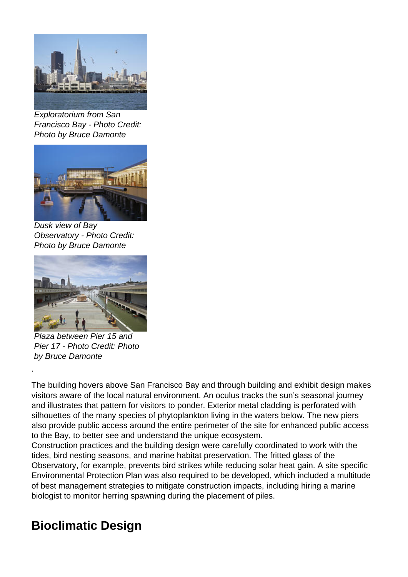

Exploratorium from San Francisco Bay - Photo Credit: Photo by Bruce Damonte



Dusk view of Bay Observatory - Photo Credit: Photo by Bruce Damonte



Plaza between Pier 15 and Pier 17 - Photo Credit: Photo by Bruce Damonte

The building hovers above San Francisco Bay and through building and exhibit design makes visitors aware of the local natural environment. An oculus tracks the sun's seasonal journey and illustrates that pattern for visitors to ponder. Exterior metal cladding is perforated with silhouettes of the many species of phytoplankton living in the waters below. The new piers also provide public access around the entire perimeter of the site for enhanced public access to the Bay, to better see and understand the unique ecosystem.

Construction practices and the building design were carefully coordinated to work with the tides, bird nesting seasons, and marine habitat preservation. The fritted glass of the Observatory, for example, prevents bird strikes while reducing solar heat gain. A site specific Environmental Protection Plan was also required to be developed, which included a multitude of best management strategies to mitigate construction impacts, including hiring a marine biologist to monitor herring spawning during the placement of piles.

## **Bioclimatic Design**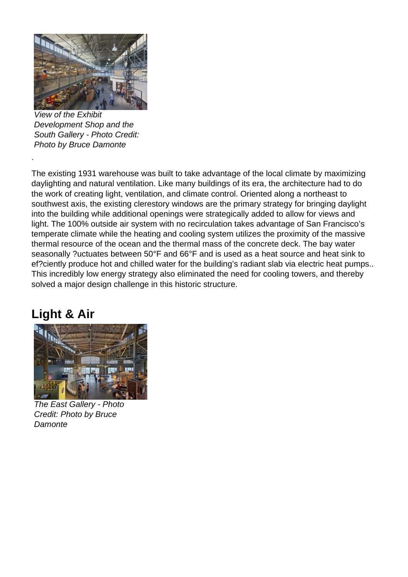

View of the Exhibit Development Shop and the South Gallery - Photo Credit: Photo by Bruce Damonte

The existing 1931 warehouse was built to take advantage of the local climate by maximizing daylighting and natural ventilation. Like many buildings of its era, the architecture had to do the work of creating light, ventilation, and climate control. Oriented along a northeast to southwest axis, the existing clerestory windows are the primary strategy for bringing daylight into the building while additional openings were strategically added to allow for views and light. The 100% outside air system with no recirculation takes advantage of San Francisco's temperate climate while the heating and cooling system utilizes the proximity of the massive thermal resource of the ocean and the thermal mass of the concrete deck. The bay water seasonally ?uctuates between 50°F and 66°F and is used as a heat source and heat sink to ef?ciently produce hot and chilled water for the building's radiant slab via electric heat pumps.. This incredibly low energy strategy also eliminated the need for cooling towers, and thereby solved a major design challenge in this historic structure.

## **Light & Air**



The East Gallery - Photo Credit: Photo by Bruce **Damonte**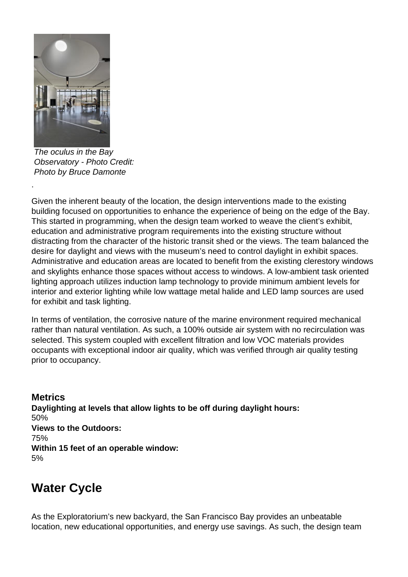

The oculus in the Bay Observatory - Photo Credit: Photo by Bruce Damonte

Given the inherent beauty of the location, the design interventions made to the existing building focused on opportunities to enhance the experience of being on the edge of the Bay. This started in programming, when the design team worked to weave the client's exhibit, education and administrative program requirements into the existing structure without distracting from the character of the historic transit shed or the views. The team balanced the desire for daylight and views with the museum's need to control daylight in exhibit spaces. Administrative and education areas are located to benefit from the existing clerestory windows and skylights enhance those spaces without access to windows. A low-ambient task oriented lighting approach utilizes induction lamp technology to provide minimum ambient levels for interior and exterior lighting while low wattage metal halide and LED lamp sources are used for exhibit and task lighting.

In terms of ventilation, the corrosive nature of the marine environment required mechanical rather than natural ventilation. As such, a 100% outside air system with no recirculation was selected. This system coupled with excellent filtration and low VOC materials provides occupants with exceptional indoor air quality, which was verified through air quality testing prior to occupancy.

**Metrics Daylighting at levels that allow lights to be off during daylight hours:**  50% **Views to the Outdoors:**  75% **Within 15 feet of an operable window:**  5%

## **Water Cycle**

As the Exploratorium's new backyard, the San Francisco Bay provides an unbeatable location, new educational opportunities, and energy use savings. As such, the design team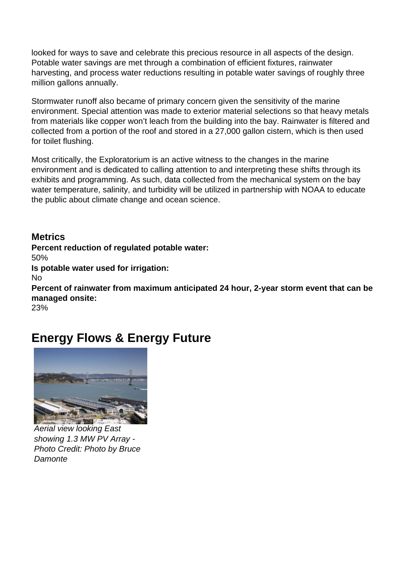looked for ways to save and celebrate this precious resource in all aspects of the design. Potable water savings are met through a combination of efficient fixtures, rainwater harvesting, and process water reductions resulting in potable water savings of roughly three million gallons annually.

Stormwater runoff also became of primary concern given the sensitivity of the marine environment. Special attention was made to exterior material selections so that heavy metals from materials like copper won't leach from the building into the bay. Rainwater is filtered and collected from a portion of the roof and stored in a 27,000 gallon cistern, which is then used for toilet flushing.

Most critically, the Exploratorium is an active witness to the changes in the marine environment and is dedicated to calling attention to and interpreting these shifts through its exhibits and programming. As such, data collected from the mechanical system on the bay water temperature, salinity, and turbidity will be utilized in partnership with NOAA to educate the public about climate change and ocean science.

**Metrics Percent reduction of regulated potable water:**  50% **Is potable water used for irrigation:**  No **Percent of rainwater from maximum anticipated 24 hour, 2-year storm event that can be managed onsite:**  23%

## **Energy Flows & Energy Future**



Aerial view looking East showing 1.3 MW PV Array - Photo Credit: Photo by Bruce **Damonte**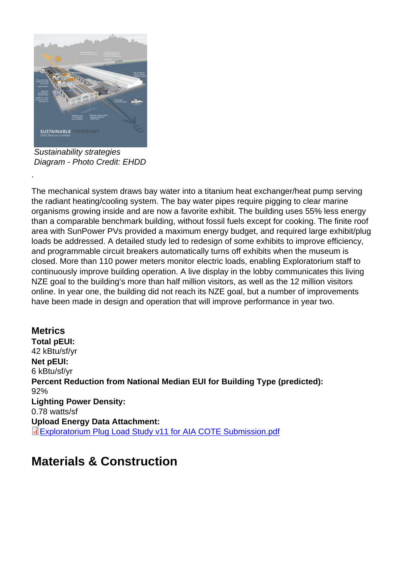Sustainability strategies Diagram - Photo Credit: EHDD

.

The mechanical system draws bay water into a titanium heat exchanger/heat pump serving the radiant heating/cooling system. The bay water pipes require pigging to clear marine organisms growing inside and are now a favorite exhibit. The building uses 55% less energy than a comparable benchmark building, without fossil fuels except for cooking. The finite roof area with SunPower PVs provided a maximum energy budget, and required large exhibit/plug loads be addressed. A detailed study led to redesign of some exhibits to improve efficiency, and programmable circuit breakers automatically turns off exhibits when the museum is closed. More than 110 power meters monitor electric loads, enabling Exploratorium staff to continuously improve building operation. A live display in the lobby communicates this living NZE goal to the building's more than half million visitors, as well as the 12 million visitors online. In year one, the building did not reach its NZE goal, but a number of improvements have been made in design and operation that will improve performance in year two.

**Metrics** Total pEUI: 42 kBtu/sf/yr Net pEUI: 6 kBtu/sf/yr Percent Reduction from National Median EUI for Building Type (predicted): 92% Lighting Power Density: 0.78 watts/sf Upload Energy Data Attachment: Exploratorium Plug Load Study v11 for AIA COTE Submission.pdf

#### [Materials & Construction](http://submit.aiatopten.org/sites/default/files/Exploratorium Plug Load Study v11 for AIA COTE Submission.pdf)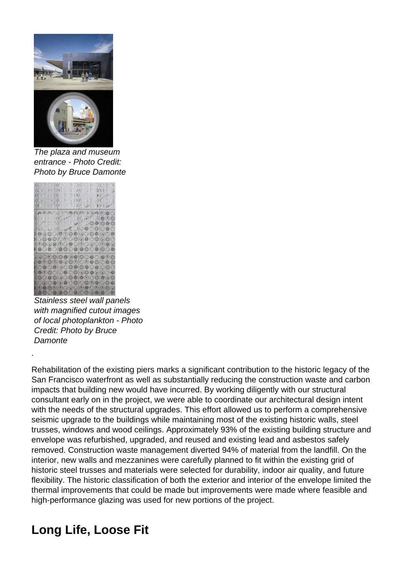

The plaza and museum entrance - Photo Credit: Photo by Bruce Damonte



Stainless steel wall panels with magnified cutout images of local photoplankton - Photo Credit: Photo by Bruce **Damonte** 

Rehabilitation of the existing piers marks a significant contribution to the historic legacy of the San Francisco waterfront as well as substantially reducing the construction waste and carbon impacts that building new would have incurred. By working diligently with our structural consultant early on in the project, we were able to coordinate our architectural design intent with the needs of the structural upgrades. This effort allowed us to perform a comprehensive seismic upgrade to the buildings while maintaining most of the existing historic walls, steel trusses, windows and wood ceilings. Approximately 93% of the existing building structure and envelope was refurbished, upgraded, and reused and existing lead and asbestos safely removed. Construction waste management diverted 94% of material from the landfill. On the interior, new walls and mezzanines were carefully planned to fit within the existing grid of historic steel trusses and materials were selected for durability, indoor air quality, and future flexibility. The historic classification of both the exterior and interior of the envelope limited the thermal improvements that could be made but improvements were made where feasible and high-performance glazing was used for new portions of the project.

## **Long Life, Loose Fit**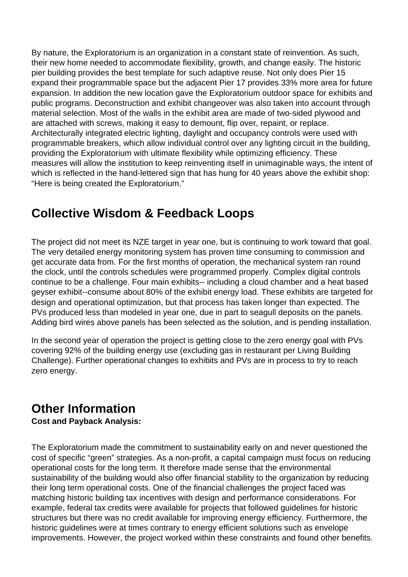By nature, the Exploratorium is an organization in a constant state of reinvention. As such, their new home needed to accommodate flexibility, growth, and change easily. The historic pier building provides the best template for such adaptive reuse. Not only does Pier 15 expand their programmable space but the adjacent Pier 17 provides 33% more area for future expansion. In addition the new location gave the Exploratorium outdoor space for exhibits and public programs. Deconstruction and exhibit changeover was also taken into account through material selection. Most of the walls in the exhibit area are made of two-sided plywood and are attached with screws, making it easy to demount, flip over, repaint, or replace. Architecturally integrated electric lighting, daylight and occupancy controls were used with programmable breakers, which allow individual control over any lighting circuit in the building, providing the Exploratorium with ultimate flexibility while optimizing efficiency. These measures will allow the institution to keep reinventing itself in unimaginable ways, the intent of which is reflected in the hand-lettered sign that has hung for 40 years above the exhibit shop: "Here is being created the Exploratorium."

## **Collective Wisdom & Feedback Loops**

The project did not meet its NZE target in year one, but is continuing to work toward that goal. The very detailed energy monitoring system has proven time consuming to commission and get accurate data from. For the first months of operation, the mechanical system ran round the clock, until the controls schedules were programmed properly. Complex digital controls continue to be a challenge. Four main exhibits-- including a cloud chamber and a heat based geyser exhibit--consume about 80% of the exhibit energy load. These exhibits are targeted for design and operational optimization, but that process has taken longer than expected. The PVs produced less than modeled in year one, due in part to seagull deposits on the panels. Adding bird wires above panels has been selected as the solution, and is pending installation.

In the second year of operation the project is getting close to the zero energy goal with PVs covering 92% of the building energy use (excluding gas in restaurant per Living Building Challenge). Further operational changes to exhibits and PVs are in process to try to reach zero energy.

## **Other Information**

#### **Cost and Payback Analysis:**

The Exploratorium made the commitment to sustainability early on and never questioned the cost of specific "green" strategies. As a non-profit, a capital campaign must focus on reducing operational costs for the long term. It therefore made sense that the environmental sustainability of the building would also offer financial stability to the organization by reducing their long term operational costs. One of the financial challenges the project faced was matching historic building tax incentives with design and performance considerations. For example, federal tax credits were available for projects that followed guidelines for historic structures but there was no credit available for improving energy efficiency. Furthermore, the historic guidelines were at times contrary to energy efficient solutions such as envelope improvements. However, the project worked within these constraints and found other benefits.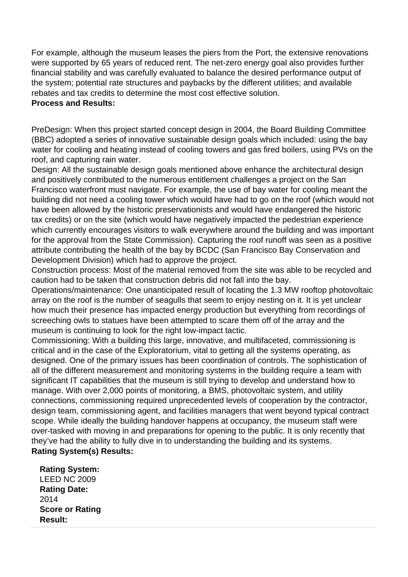For example, although the museum leases the piers from the Port, the extensive renovations were supported by 65 years of reduced rent. The net-zero energy goal also provides further financial stability and was carefully evaluated to balance the desired performance output of the system; potential rate structures and paybacks by the different utilities; and available rebates and tax credits to determine the most cost effective solution.

#### **Process and Results:**

PreDesign: When this project started concept design in 2004, the Board Building Committee (BBC) adopted a series of innovative sustainable design goals which included: using the bay water for cooling and heating instead of cooling towers and gas fired boilers, using PVs on the roof, and capturing rain water.

Design: All the sustainable design goals mentioned above enhance the architectural design and positively contributed to the numerous entitlement challenges a project on the San Francisco waterfront must navigate. For example, the use of bay water for cooling meant the building did not need a cooling tower which would have had to go on the roof (which would not have been allowed by the historic preservationists and would have endangered the historic tax credits) or on the site (which would have negatively impacted the pedestrian experience which currently encourages visitors to walk everywhere around the building and was important for the approval from the State Commission). Capturing the roof runoff was seen as a positive attribute contributing the health of the bay by BCDC (San Francisco Bay Conservation and Development Division) which had to approve the project.

Construction process: Most of the material removed from the site was able to be recycled and caution had to be taken that construction debris did not fall into the bay.

Operations/maintenance: One unanticipated result of locating the 1.3 MW rooftop photovoltaic array on the roof is the number of seagulls that seem to enjoy nesting on it. It is yet unclear how much their presence has impacted energy production but everything from recordings of screeching owls to statues have been attempted to scare them off of the array and the museum is continuing to look for the right low-impact tactic.

Commissioning: With a building this large, innovative, and multifaceted, commissioning is critical and in the case of the Exploratorium, vital to getting all the systems operating, as designed. One of the primary issues has been coordination of controls. The sophistication of all of the different measurement and monitoring systems in the building require a team with significant IT capabilities that the museum is still trying to develop and understand how to manage. With over 2,000 points of monitoring, a BMS, photovoltaic system, and utility connections, commissioning required unprecedented levels of cooperation by the contractor, design team, commissioning agent, and facilities managers that went beyond typical contract scope. While ideally the building handover happens at occupancy, the museum staff were over-tasked with moving in and preparations for opening to the public. It is only recently that they've had the ability to fully dive in to understanding the building and its systems. **Rating System(s) Results:** 

**Rating System:**  LEED NC 2009 **Rating Date:**  2014 **Score or Rating Result:**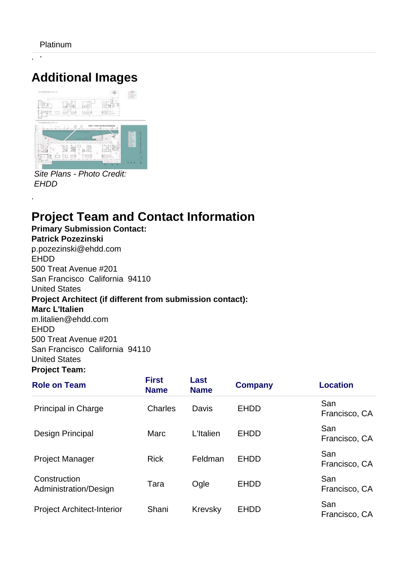. .

.

# **Additional Images**



Site Plans - Photo Credit: **EHDD** 

## **Project Team and Contact Information**

**Primary Submission Contact: Patrick Pozezinski .**p.pozezinski@ehdd.com .EHDD **.**500 Treat Avenue #201 San Francisco California 94110 .United States **Project Architect (if different from submission contact): Marc L'Italien .**m.litalien@ehdd.com .EHDD **.**500 Treat Avenue #201 San Francisco California 94110 .United States

#### **Project Team:**

| <b>Role on Team</b>                   | <b>First</b><br><b>Name</b> | Last<br><b>Name</b> | <b>Company</b> | <b>Location</b>      |
|---------------------------------------|-----------------------------|---------------------|----------------|----------------------|
| <b>Principal in Charge</b>            | Charles                     | Davis               | <b>EHDD</b>    | San<br>Francisco, CA |
| <b>Design Principal</b>               | Marc                        | L'Italien           | <b>EHDD</b>    | San<br>Francisco, CA |
| <b>Project Manager</b>                | <b>Rick</b>                 | Feldman             | <b>EHDD</b>    | San<br>Francisco, CA |
| Construction<br>Administration/Design | Tara                        | Ogle                | <b>EHDD</b>    | San<br>Francisco, CA |
| <b>Project Architect-Interior</b>     | Shani                       | Krevsky             | <b>EHDD</b>    | San<br>Francisco, CA |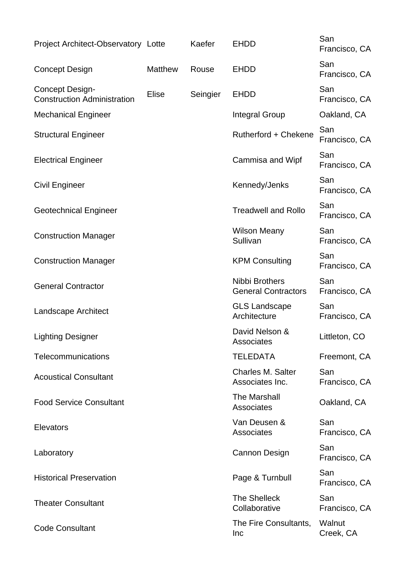| Project Architect-Observatory Lotte                          |                | Kaefer   | <b>EHDD</b>                                  | San<br>Francisco, CA |
|--------------------------------------------------------------|----------------|----------|----------------------------------------------|----------------------|
| <b>Concept Design</b>                                        | <b>Matthew</b> | Rouse    | <b>EHDD</b>                                  | San<br>Francisco, CA |
| <b>Concept Design-</b><br><b>Construction Administration</b> | <b>Elise</b>   | Seingier | <b>EHDD</b>                                  | San<br>Francisco, CA |
| <b>Mechanical Engineer</b>                                   |                |          | <b>Integral Group</b>                        | Oakland, CA          |
| <b>Structural Engineer</b>                                   |                |          | Rutherford + Chekene                         | San<br>Francisco, CA |
| <b>Electrical Engineer</b>                                   |                |          | Cammisa and Wipf                             | San<br>Francisco, CA |
| <b>Civil Engineer</b>                                        |                |          | Kennedy/Jenks                                | San<br>Francisco, CA |
| <b>Geotechnical Engineer</b>                                 |                |          | <b>Treadwell and Rollo</b>                   | San<br>Francisco, CA |
| <b>Construction Manager</b>                                  |                |          | <b>Wilson Meany</b><br>Sullivan              | San<br>Francisco, CA |
| <b>Construction Manager</b>                                  |                |          | <b>KPM Consulting</b>                        | San<br>Francisco, CA |
| <b>General Contractor</b>                                    |                |          | Nibbi Brothers<br><b>General Contractors</b> | San<br>Francisco, CA |
| Landscape Architect                                          |                |          | <b>GLS Landscape</b><br>Architecture         | San<br>Francisco, CA |
| <b>Lighting Designer</b>                                     |                |          | David Nelson &<br>Associates                 | Littleton, CO        |
| Telecommunications                                           |                |          | <b>TELEDATA</b>                              | Freemont, CA         |
| <b>Acoustical Consultant</b>                                 |                |          | <b>Charles M. Salter</b><br>Associates Inc.  | San<br>Francisco, CA |
| <b>Food Service Consultant</b>                               |                |          | <b>The Marshall</b><br>Associates            | Oakland, CA          |
| Elevators                                                    |                |          | Van Deusen &<br>Associates                   | San<br>Francisco, CA |
| Laboratory                                                   |                |          | Cannon Design                                | San<br>Francisco, CA |
| <b>Historical Preservation</b>                               |                |          | Page & Turnbull                              | San<br>Francisco, CA |
| <b>Theater Consultant</b>                                    |                |          | <b>The Shelleck</b><br>Collaborative         | San<br>Francisco, CA |
| <b>Code Consultant</b>                                       |                |          | The Fire Consultants,<br><b>Inc</b>          | Walnut<br>Creek, CA  |